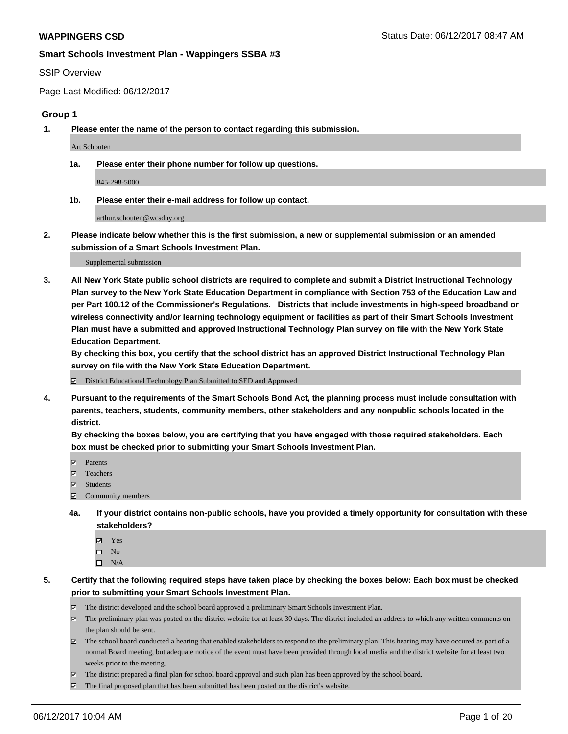#### SSIP Overview

Page Last Modified: 06/12/2017

#### **Group 1**

**1. Please enter the name of the person to contact regarding this submission.**

Art Schouten

**1a. Please enter their phone number for follow up questions.**

845-298-5000

**1b. Please enter their e-mail address for follow up contact.**

arthur.schouten@wcsdny.org

**2. Please indicate below whether this is the first submission, a new or supplemental submission or an amended submission of a Smart Schools Investment Plan.**

Supplemental submission

**3. All New York State public school districts are required to complete and submit a District Instructional Technology Plan survey to the New York State Education Department in compliance with Section 753 of the Education Law and per Part 100.12 of the Commissioner's Regulations. Districts that include investments in high-speed broadband or wireless connectivity and/or learning technology equipment or facilities as part of their Smart Schools Investment Plan must have a submitted and approved Instructional Technology Plan survey on file with the New York State Education Department.** 

**By checking this box, you certify that the school district has an approved District Instructional Technology Plan survey on file with the New York State Education Department.**

District Educational Technology Plan Submitted to SED and Approved

**4. Pursuant to the requirements of the Smart Schools Bond Act, the planning process must include consultation with parents, teachers, students, community members, other stakeholders and any nonpublic schools located in the district.** 

**By checking the boxes below, you are certifying that you have engaged with those required stakeholders. Each box must be checked prior to submitting your Smart Schools Investment Plan.**

- **マ** Parents
- □ Teachers
- Students
- $\Xi$  Community members
- **4a. If your district contains non-public schools, have you provided a timely opportunity for consultation with these stakeholders?**
	- Yes
	- $\hfill \square$  No
	- $\square$  N/A
- **5. Certify that the following required steps have taken place by checking the boxes below: Each box must be checked prior to submitting your Smart Schools Investment Plan.**
	- The district developed and the school board approved a preliminary Smart Schools Investment Plan.
	- $\boxtimes$  The preliminary plan was posted on the district website for at least 30 days. The district included an address to which any written comments on the plan should be sent.
	- $\boxtimes$  The school board conducted a hearing that enabled stakeholders to respond to the preliminary plan. This hearing may have occured as part of a normal Board meeting, but adequate notice of the event must have been provided through local media and the district website for at least two weeks prior to the meeting.
	- The district prepared a final plan for school board approval and such plan has been approved by the school board.
	- $\boxtimes$  The final proposed plan that has been submitted has been posted on the district's website.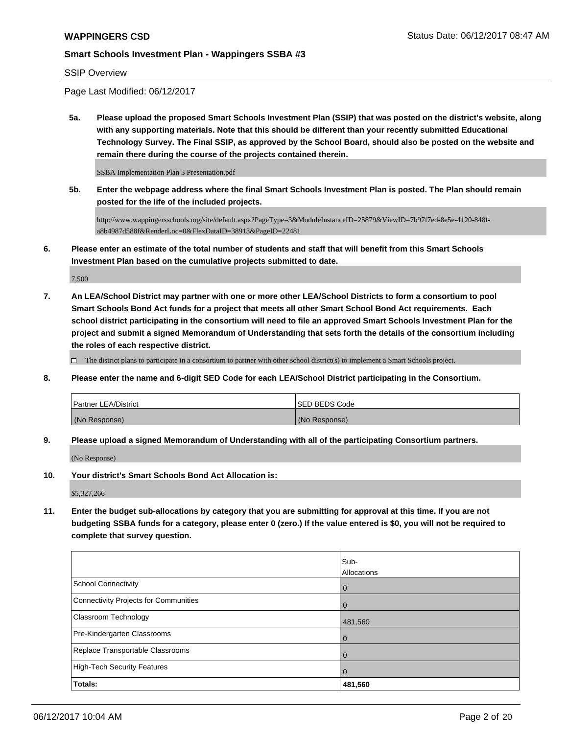#### SSIP Overview

Page Last Modified: 06/12/2017

**5a. Please upload the proposed Smart Schools Investment Plan (SSIP) that was posted on the district's website, along with any supporting materials. Note that this should be different than your recently submitted Educational Technology Survey. The Final SSIP, as approved by the School Board, should also be posted on the website and remain there during the course of the projects contained therein.**

SSBA Implementation Plan 3 Presentation.pdf

**5b. Enter the webpage address where the final Smart Schools Investment Plan is posted. The Plan should remain posted for the life of the included projects.**

http://www.wappingersschools.org/site/default.aspx?PageType=3&ModuleInstanceID=25879&ViewID=7b97f7ed-8e5e-4120-848fa8b4987d588f&RenderLoc=0&FlexDataID=38913&PageID=22481

**6. Please enter an estimate of the total number of students and staff that will benefit from this Smart Schools Investment Plan based on the cumulative projects submitted to date.**

7,500

**7. An LEA/School District may partner with one or more other LEA/School Districts to form a consortium to pool Smart Schools Bond Act funds for a project that meets all other Smart School Bond Act requirements. Each school district participating in the consortium will need to file an approved Smart Schools Investment Plan for the project and submit a signed Memorandum of Understanding that sets forth the details of the consortium including the roles of each respective district.**

 $\Box$  The district plans to participate in a consortium to partner with other school district(s) to implement a Smart Schools project.

**8. Please enter the name and 6-digit SED Code for each LEA/School District participating in the Consortium.**

| <b>Partner LEA/District</b> | ISED BEDS Code |
|-----------------------------|----------------|
| (No Response)               | (No Response)  |

**9. Please upload a signed Memorandum of Understanding with all of the participating Consortium partners.**

(No Response)

**10. Your district's Smart Schools Bond Act Allocation is:**

\$5,327,266

**11. Enter the budget sub-allocations by category that you are submitting for approval at this time. If you are not budgeting SSBA funds for a category, please enter 0 (zero.) If the value entered is \$0, you will not be required to complete that survey question.**

|                                       | Sub-           |
|---------------------------------------|----------------|
|                                       | Allocations    |
| <b>School Connectivity</b>            | l 0            |
| Connectivity Projects for Communities | $\overline{0}$ |
| <b>Classroom Technology</b>           | 481,560        |
| Pre-Kindergarten Classrooms           | l O            |
| Replace Transportable Classrooms      | $\Omega$       |
| High-Tech Security Features           | $\overline{0}$ |
| Totals:                               | 481,560        |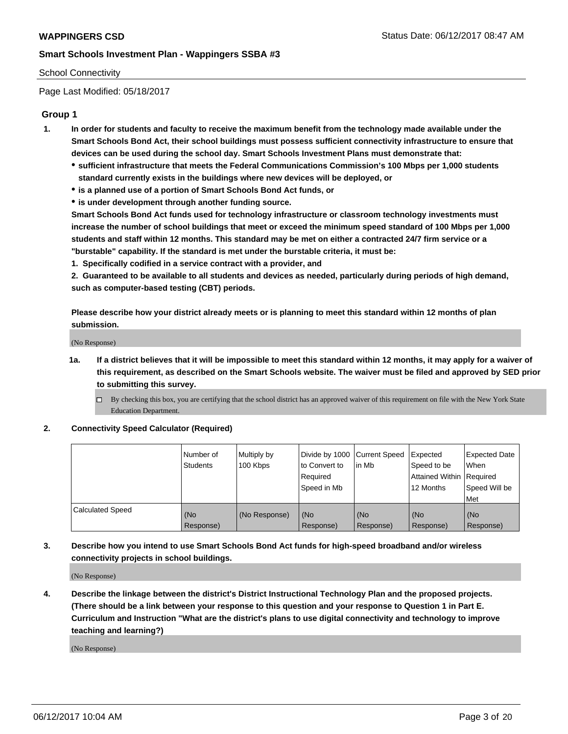### School Connectivity

Page Last Modified: 05/18/2017

# **Group 1**

- **1. In order for students and faculty to receive the maximum benefit from the technology made available under the Smart Schools Bond Act, their school buildings must possess sufficient connectivity infrastructure to ensure that devices can be used during the school day. Smart Schools Investment Plans must demonstrate that:**
	- **sufficient infrastructure that meets the Federal Communications Commission's 100 Mbps per 1,000 students standard currently exists in the buildings where new devices will be deployed, or**
	- **is a planned use of a portion of Smart Schools Bond Act funds, or**
	- **is under development through another funding source.**

**Smart Schools Bond Act funds used for technology infrastructure or classroom technology investments must increase the number of school buildings that meet or exceed the minimum speed standard of 100 Mbps per 1,000 students and staff within 12 months. This standard may be met on either a contracted 24/7 firm service or a "burstable" capability. If the standard is met under the burstable criteria, it must be:**

**1. Specifically codified in a service contract with a provider, and**

**2. Guaranteed to be available to all students and devices as needed, particularly during periods of high demand, such as computer-based testing (CBT) periods.**

**Please describe how your district already meets or is planning to meet this standard within 12 months of plan submission.**

(No Response)

- **1a. If a district believes that it will be impossible to meet this standard within 12 months, it may apply for a waiver of this requirement, as described on the Smart Schools website. The waiver must be filed and approved by SED prior to submitting this survey.**
	- By checking this box, you are certifying that the school district has an approved waiver of this requirement on file with the New York State Education Department.

#### **2. Connectivity Speed Calculator (Required)**

|                         | l Number of<br><b>Students</b> | Multiply by<br>100 Kbps | Divide by 1000 Current Speed<br>to Convert to<br>Required<br>l Speed in Mb | lin Mb           | Expected<br>Speed to be<br>Attained Within Required<br>12 Months | Expected Date<br>When<br>Speed Will be<br><b>Met</b> |
|-------------------------|--------------------------------|-------------------------|----------------------------------------------------------------------------|------------------|------------------------------------------------------------------|------------------------------------------------------|
| <b>Calculated Speed</b> | (No<br>Response)               | (No Response)           | (No<br>Response)                                                           | (No<br>Response) | (No<br>Response)                                                 | l (No<br>Response)                                   |

# **3. Describe how you intend to use Smart Schools Bond Act funds for high-speed broadband and/or wireless connectivity projects in school buildings.**

(No Response)

**4. Describe the linkage between the district's District Instructional Technology Plan and the proposed projects. (There should be a link between your response to this question and your response to Question 1 in Part E. Curriculum and Instruction "What are the district's plans to use digital connectivity and technology to improve teaching and learning?)**

(No Response)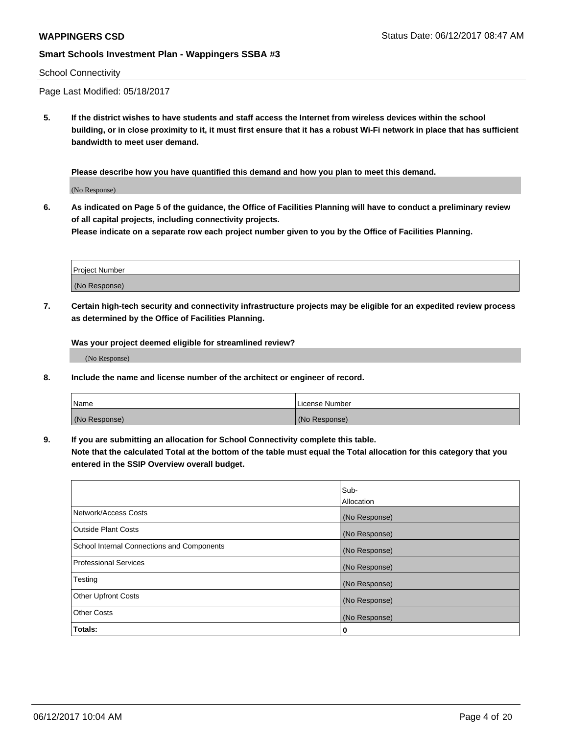#### School Connectivity

Page Last Modified: 05/18/2017

**5. If the district wishes to have students and staff access the Internet from wireless devices within the school building, or in close proximity to it, it must first ensure that it has a robust Wi-Fi network in place that has sufficient bandwidth to meet user demand.**

**Please describe how you have quantified this demand and how you plan to meet this demand.**

(No Response)

**6. As indicated on Page 5 of the guidance, the Office of Facilities Planning will have to conduct a preliminary review of all capital projects, including connectivity projects.**

**Please indicate on a separate row each project number given to you by the Office of Facilities Planning.**

| Project Number |  |
|----------------|--|
|                |  |
| (No Response)  |  |

**7. Certain high-tech security and connectivity infrastructure projects may be eligible for an expedited review process as determined by the Office of Facilities Planning.**

**Was your project deemed eligible for streamlined review?**

(No Response)

**8. Include the name and license number of the architect or engineer of record.**

| Name          | License Number |
|---------------|----------------|
| (No Response) | (No Response)  |

**9. If you are submitting an allocation for School Connectivity complete this table.**

**Note that the calculated Total at the bottom of the table must equal the Total allocation for this category that you entered in the SSIP Overview overall budget.** 

|                                            | Sub-          |
|--------------------------------------------|---------------|
|                                            | Allocation    |
| Network/Access Costs                       | (No Response) |
| Outside Plant Costs                        | (No Response) |
| School Internal Connections and Components | (No Response) |
| <b>Professional Services</b>               | (No Response) |
| Testing                                    | (No Response) |
| <b>Other Upfront Costs</b>                 | (No Response) |
| <b>Other Costs</b>                         | (No Response) |
| Totals:                                    | 0             |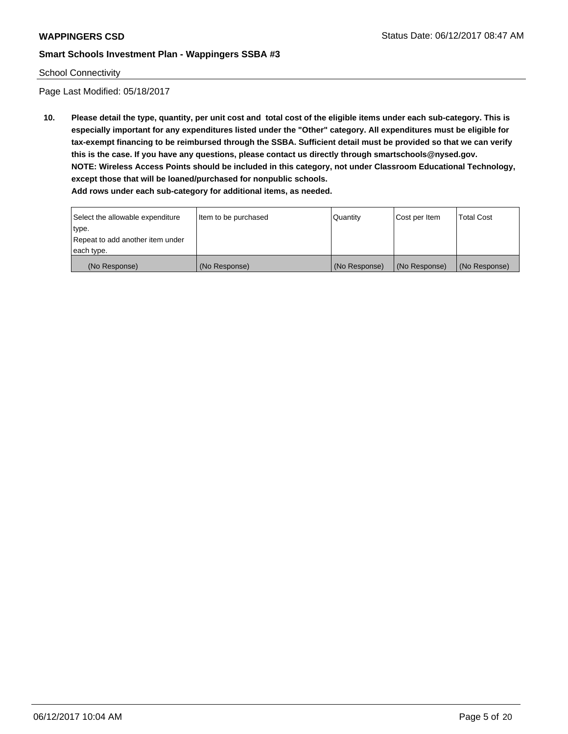#### School Connectivity

Page Last Modified: 05/18/2017

**10. Please detail the type, quantity, per unit cost and total cost of the eligible items under each sub-category. This is especially important for any expenditures listed under the "Other" category. All expenditures must be eligible for tax-exempt financing to be reimbursed through the SSBA. Sufficient detail must be provided so that we can verify this is the case. If you have any questions, please contact us directly through smartschools@nysed.gov. NOTE: Wireless Access Points should be included in this category, not under Classroom Educational Technology, except those that will be loaned/purchased for nonpublic schools.**

| Select the allowable expenditure | Item to be purchased | Quantity      | Cost per Item | Total Cost    |
|----------------------------------|----------------------|---------------|---------------|---------------|
| type.                            |                      |               |               |               |
| Repeat to add another item under |                      |               |               |               |
| each type.                       |                      |               |               |               |
| (No Response)                    | (No Response)        | (No Response) | (No Response) | (No Response) |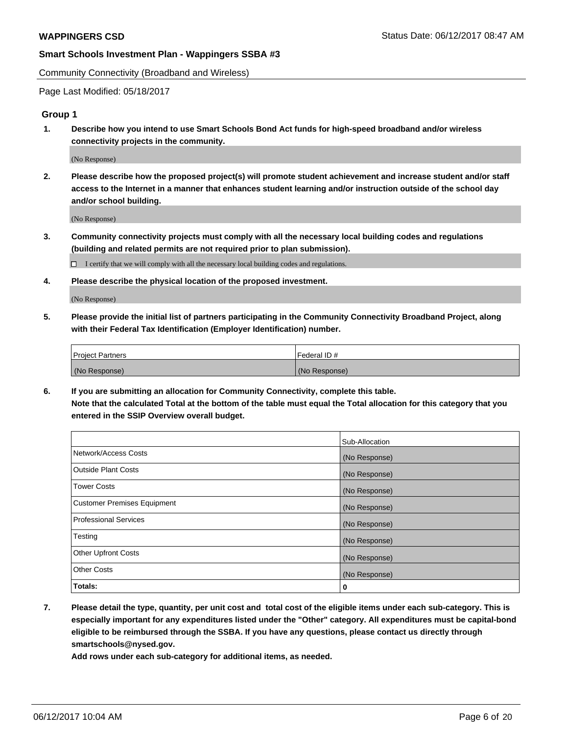Community Connectivity (Broadband and Wireless)

Page Last Modified: 05/18/2017

#### **Group 1**

**1. Describe how you intend to use Smart Schools Bond Act funds for high-speed broadband and/or wireless connectivity projects in the community.**

(No Response)

**2. Please describe how the proposed project(s) will promote student achievement and increase student and/or staff access to the Internet in a manner that enhances student learning and/or instruction outside of the school day and/or school building.**

(No Response)

**3. Community connectivity projects must comply with all the necessary local building codes and regulations (building and related permits are not required prior to plan submission).**

 $\Box$  I certify that we will comply with all the necessary local building codes and regulations.

**4. Please describe the physical location of the proposed investment.**

(No Response)

**5. Please provide the initial list of partners participating in the Community Connectivity Broadband Project, along with their Federal Tax Identification (Employer Identification) number.**

| <b>Project Partners</b> | Federal ID#     |
|-------------------------|-----------------|
| (No Response)           | l (No Response) |

**6. If you are submitting an allocation for Community Connectivity, complete this table. Note that the calculated Total at the bottom of the table must equal the Total allocation for this category that you entered in the SSIP Overview overall budget.**

|                                    | Sub-Allocation |
|------------------------------------|----------------|
| Network/Access Costs               | (No Response)  |
| Outside Plant Costs                | (No Response)  |
| <b>Tower Costs</b>                 | (No Response)  |
| <b>Customer Premises Equipment</b> | (No Response)  |
| <b>Professional Services</b>       | (No Response)  |
| Testing                            | (No Response)  |
| <b>Other Upfront Costs</b>         | (No Response)  |
| <b>Other Costs</b>                 | (No Response)  |
| Totals:                            | 0              |

**7. Please detail the type, quantity, per unit cost and total cost of the eligible items under each sub-category. This is especially important for any expenditures listed under the "Other" category. All expenditures must be capital-bond eligible to be reimbursed through the SSBA. If you have any questions, please contact us directly through smartschools@nysed.gov.**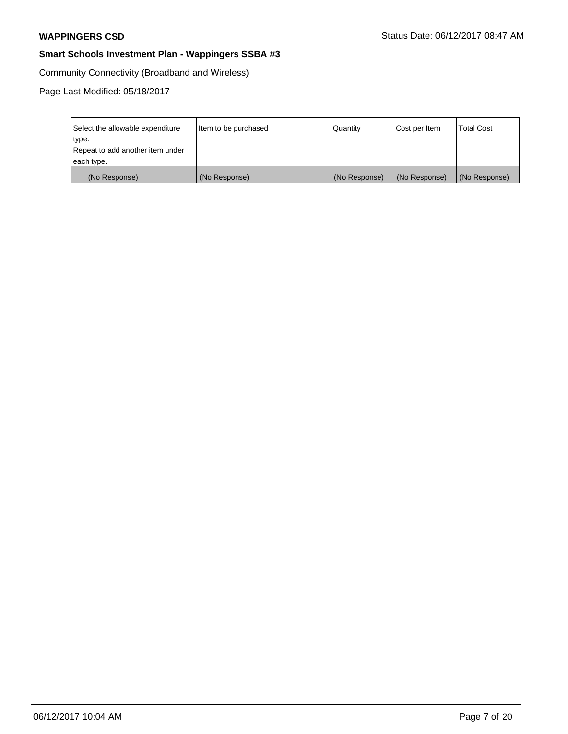Community Connectivity (Broadband and Wireless)

Page Last Modified: 05/18/2017

| Select the allowable expenditure | Item to be purchased | Quantity      | Cost per Item | <b>Total Cost</b> |
|----------------------------------|----------------------|---------------|---------------|-------------------|
| type.                            |                      |               |               |                   |
| Repeat to add another item under |                      |               |               |                   |
| each type.                       |                      |               |               |                   |
| (No Response)                    | (No Response)        | (No Response) | (No Response) | (No Response)     |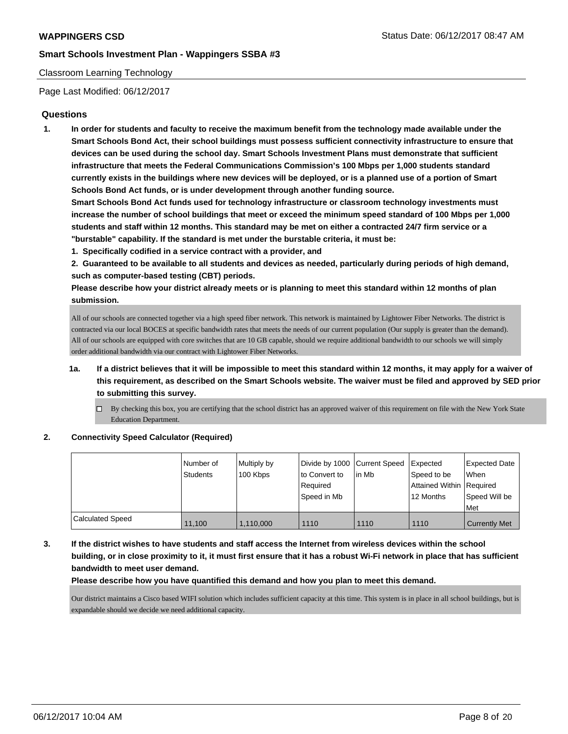### Classroom Learning Technology

Page Last Modified: 06/12/2017

## **Questions**

**1. In order for students and faculty to receive the maximum benefit from the technology made available under the Smart Schools Bond Act, their school buildings must possess sufficient connectivity infrastructure to ensure that devices can be used during the school day. Smart Schools Investment Plans must demonstrate that sufficient infrastructure that meets the Federal Communications Commission's 100 Mbps per 1,000 students standard currently exists in the buildings where new devices will be deployed, or is a planned use of a portion of Smart Schools Bond Act funds, or is under development through another funding source.**

**Smart Schools Bond Act funds used for technology infrastructure or classroom technology investments must increase the number of school buildings that meet or exceed the minimum speed standard of 100 Mbps per 1,000 students and staff within 12 months. This standard may be met on either a contracted 24/7 firm service or a "burstable" capability. If the standard is met under the burstable criteria, it must be:**

- **1. Specifically codified in a service contract with a provider, and**
- **2. Guaranteed to be available to all students and devices as needed, particularly during periods of high demand, such as computer-based testing (CBT) periods.**

**Please describe how your district already meets or is planning to meet this standard within 12 months of plan submission.**

All of our schools are connected together via a high speed fiber network. This network is maintained by Lightower Fiber Networks. The district is contracted via our local BOCES at specific bandwidth rates that meets the needs of our current population (Our supply is greater than the demand). All of our schools are equipped with core switches that are 10 GB capable, should we require additional bandwidth to our schools we will simply order additional bandwidth via our contract with Lightower Fiber Networks.

- **1a. If a district believes that it will be impossible to meet this standard within 12 months, it may apply for a waiver of this requirement, as described on the Smart Schools website. The waiver must be filed and approved by SED prior to submitting this survey.**
	- $\Box$  By checking this box, you are certifying that the school district has an approved waiver of this requirement on file with the New York State Education Department.

#### **2. Connectivity Speed Calculator (Required)**

|                         | l Number of<br><b>Students</b> | Multiply by<br>100 Kbps | Divide by 1000 Current Speed<br>to Convert to<br>Required<br>Speed in Mb | lin Mb | Expected<br>Speed to be<br>Attained Within Required<br>12 Months | <b>Expected Date</b><br><b>When</b><br>Speed Will be<br>Met |
|-------------------------|--------------------------------|-------------------------|--------------------------------------------------------------------------|--------|------------------------------------------------------------------|-------------------------------------------------------------|
| <b>Calculated Speed</b> | 11.100                         | 1,110,000               | 1110                                                                     | 1110   | 1110                                                             | <b>Currently Met</b>                                        |

# **3. If the district wishes to have students and staff access the Internet from wireless devices within the school building, or in close proximity to it, it must first ensure that it has a robust Wi-Fi network in place that has sufficient bandwidth to meet user demand.**

**Please describe how you have quantified this demand and how you plan to meet this demand.**

Our district maintains a Cisco based WIFI solution which includes sufficient capacity at this time. This system is in place in all school buildings, but is expandable should we decide we need additional capacity.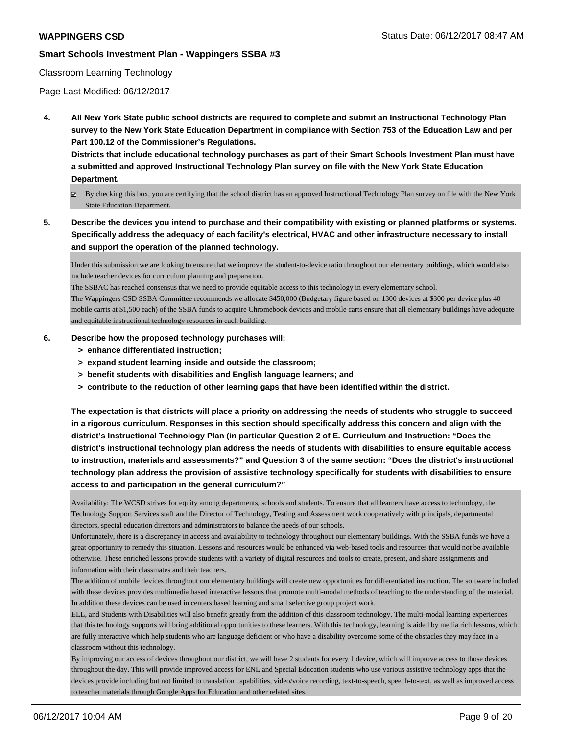#### Classroom Learning Technology

Page Last Modified: 06/12/2017

**4. All New York State public school districts are required to complete and submit an Instructional Technology Plan survey to the New York State Education Department in compliance with Section 753 of the Education Law and per Part 100.12 of the Commissioner's Regulations.**

**Districts that include educational technology purchases as part of their Smart Schools Investment Plan must have a submitted and approved Instructional Technology Plan survey on file with the New York State Education Department.**

- By checking this box, you are certifying that the school district has an approved Instructional Technology Plan survey on file with the New York State Education Department.
- **5. Describe the devices you intend to purchase and their compatibility with existing or planned platforms or systems. Specifically address the adequacy of each facility's electrical, HVAC and other infrastructure necessary to install and support the operation of the planned technology.**

Under this submission we are looking to ensure that we improve the student-to-device ratio throughout our elementary buildings, which would also include teacher devices for curriculum planning and preparation.

The SSBAC has reached consensus that we need to provide equitable access to this technology in every elementary school.

The Wappingers CSD SSBA Committee recommends we allocate \$450,000 (Budgetary figure based on 1300 devices at \$300 per device plus 40 mobile carrts at \$1,500 each) of the SSBA funds to acquire Chromebook devices and mobile carts ensure that all elementary buildings have adequate and equitable instructional technology resources in each building.

#### **6. Describe how the proposed technology purchases will:**

- **> enhance differentiated instruction;**
- **> expand student learning inside and outside the classroom;**
- **> benefit students with disabilities and English language learners; and**
- **> contribute to the reduction of other learning gaps that have been identified within the district.**

**The expectation is that districts will place a priority on addressing the needs of students who struggle to succeed in a rigorous curriculum. Responses in this section should specifically address this concern and align with the district's Instructional Technology Plan (in particular Question 2 of E. Curriculum and Instruction: "Does the district's instructional technology plan address the needs of students with disabilities to ensure equitable access to instruction, materials and assessments?" and Question 3 of the same section: "Does the district's instructional technology plan address the provision of assistive technology specifically for students with disabilities to ensure access to and participation in the general curriculum?"**

Availability: The WCSD strives for equity among departments, schools and students. To ensure that all learners have access to technology, the Technology Support Services staff and the Director of Technology, Testing and Assessment work cooperatively with principals, departmental directors, special education directors and administrators to balance the needs of our schools.

Unfortunately, there is a discrepancy in access and availability to technology throughout our elementary buildings. With the SSBA funds we have a great opportunity to remedy this situation. Lessons and resources would be enhanced via web-based tools and resources that would not be available otherwise. These enriched lessons provide students with a variety of digital resources and tools to create, present, and share assignments and information with their classmates and their teachers.

The addition of mobile devices throughout our elementary buildings will create new opportunities for differentiated instruction. The software included with these devices provides multimedia based interactive lessons that promote multi-modal methods of teaching to the understanding of the material. In addition these devices can be used in centers based learning and small selective group project work.

ELL, and Students with Disabilities will also benefit greatly from the addition of this classroom technology. The multi-modal learning experiences that this technology supports will bring additional opportunities to these learners. With this technology, learning is aided by media rich lessons, which are fully interactive which help students who are language deficient or who have a disability overcome some of the obstacles they may face in a classroom without this technology.

By improving our access of devices throughout our district, we will have 2 students for every 1 device, which will improve access to those devices throughout the day. This will provide improved access for ENL and Special Education students who use various assistive technology apps that the devices provide including but not limited to translation capabilities, video/voice recording, text-to-speech, speech-to-text, as well as improved access to teacher materials through Google Apps for Education and other related sites.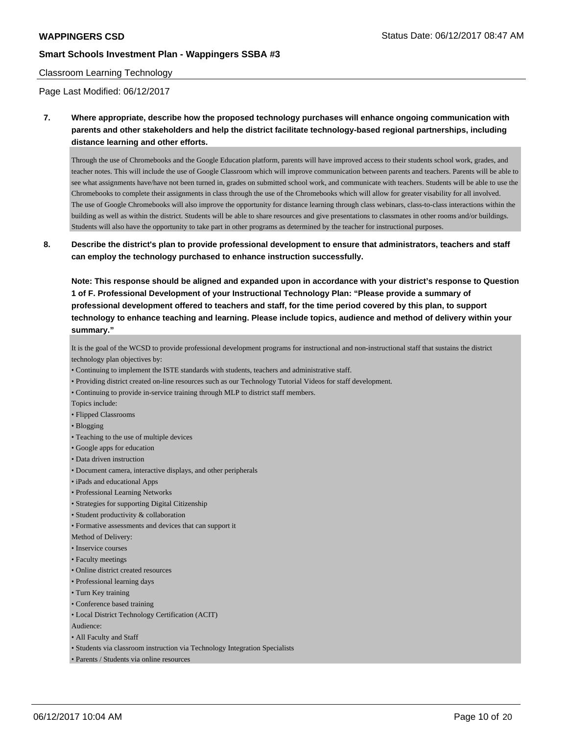#### Classroom Learning Technology

Page Last Modified: 06/12/2017

**7. Where appropriate, describe how the proposed technology purchases will enhance ongoing communication with parents and other stakeholders and help the district facilitate technology-based regional partnerships, including distance learning and other efforts.**

Through the use of Chromebooks and the Google Education platform, parents will have improved access to their students school work, grades, and teacher notes. This will include the use of Google Classroom which will improve communication between parents and teachers. Parents will be able to see what assignments have/have not been turned in, grades on submitted school work, and communicate with teachers. Students will be able to use the Chromebooks to complete their assignments in class through the use of the Chromebooks which will allow for greater visability for all involved. The use of Google Chromebooks will also improve the opportunity for distance learning through class webinars, class-to-class interactions within the building as well as within the district. Students will be able to share resources and give presentations to classmates in other rooms and/or buildings. Students will also have the opportunity to take part in other programs as determined by the teacher for instructional purposes.

**8. Describe the district's plan to provide professional development to ensure that administrators, teachers and staff can employ the technology purchased to enhance instruction successfully.**

**Note: This response should be aligned and expanded upon in accordance with your district's response to Question 1 of F. Professional Development of your Instructional Technology Plan: "Please provide a summary of professional development offered to teachers and staff, for the time period covered by this plan, to support technology to enhance teaching and learning. Please include topics, audience and method of delivery within your summary."**

It is the goal of the WCSD to provide professional development programs for instructional and non-instructional staff that sustains the district technology plan objectives by:

- Continuing to implement the ISTE standards with students, teachers and administrative staff.
- Providing district created on-line resources such as our Technology Tutorial Videos for staff development.
- Continuing to provide in-service training through MLP to district staff members.
- Topics include:
- Flipped Classrooms
- Blogging
- Teaching to the use of multiple devices
- Google apps for education
- Data driven instruction
- Document camera, interactive displays, and other peripherals
- iPads and educational Apps
- Professional Learning Networks
- Strategies for supporting Digital Citizenship
- Student productivity & collaboration
- Formative assessments and devices that can support it
- Method of Delivery:
- Inservice courses
- Faculty meetings
- Online district created resources
- Professional learning days
- Turn Key training
- Conference based training
- Local District Technology Certification (ACIT)
- Audience:
- All Faculty and Staff
- Students via classroom instruction via Technology Integration Specialists
- Parents / Students via online resources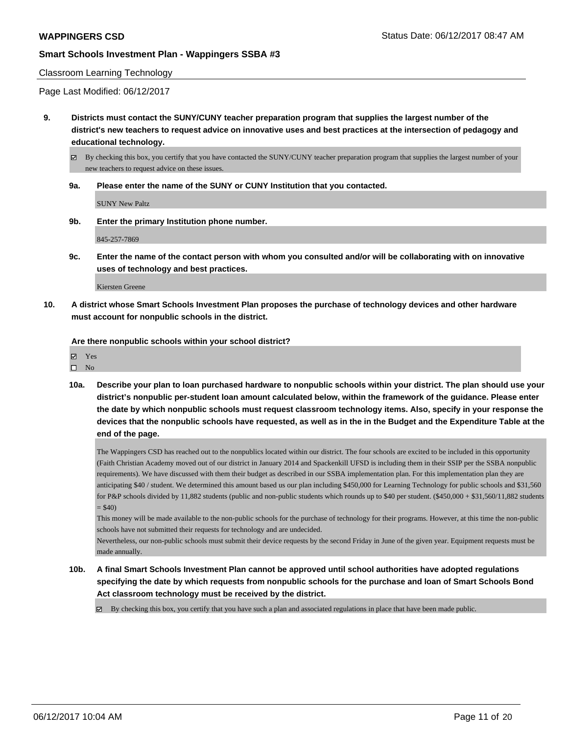#### Classroom Learning Technology

Page Last Modified: 06/12/2017

**9. Districts must contact the SUNY/CUNY teacher preparation program that supplies the largest number of the district's new teachers to request advice on innovative uses and best practices at the intersection of pedagogy and educational technology.**

By checking this box, you certify that you have contacted the SUNY/CUNY teacher preparation program that supplies the largest number of your new teachers to request advice on these issues.

**9a. Please enter the name of the SUNY or CUNY Institution that you contacted.**

SUNY New Paltz

**9b. Enter the primary Institution phone number.**

845-257-7869

**9c. Enter the name of the contact person with whom you consulted and/or will be collaborating with on innovative uses of technology and best practices.**

Kiersten Greene

**10. A district whose Smart Schools Investment Plan proposes the purchase of technology devices and other hardware must account for nonpublic schools in the district.**

**Are there nonpublic schools within your school district?**

| 罓 | Y es |
|---|------|
| п | ۰Ιη. |

**10a. Describe your plan to loan purchased hardware to nonpublic schools within your district. The plan should use your district's nonpublic per-student loan amount calculated below, within the framework of the guidance. Please enter the date by which nonpublic schools must request classroom technology items. Also, specify in your response the devices that the nonpublic schools have requested, as well as in the in the Budget and the Expenditure Table at the end of the page.**

The Wappingers CSD has reached out to the nonpublics located within our district. The four schools are excited to be included in this opportunity (Faith Christian Academy moved out of our district in January 2014 and Spackenkill UFSD is including them in their SSIP per the SSBA nonpublic requirements). We have discussed with them their budget as described in our SSBA implementation plan. For this implementation plan they are anticipating \$40 / student. We determined this amount based us our plan including \$450,000 for Learning Technology for public schools and \$31,560 for P&P schools divided by 11,882 students (public and non-public students which rounds up to \$40 per student. (\$450,000 + \$31,560/11,882 students  $= $40$ 

This money will be made available to the non-public schools for the purchase of technology for their programs. However, at this time the non-public schools have not submitted their requests for technology and are undecided.

Nevertheless, our non-public schools must submit their device requests by the second Friday in June of the given year. Equipment requests must be made annually.

**10b. A final Smart Schools Investment Plan cannot be approved until school authorities have adopted regulations specifying the date by which requests from nonpublic schools for the purchase and loan of Smart Schools Bond Act classroom technology must be received by the district.**

 $\boxtimes$  By checking this box, you certify that you have such a plan and associated regulations in place that have been made public.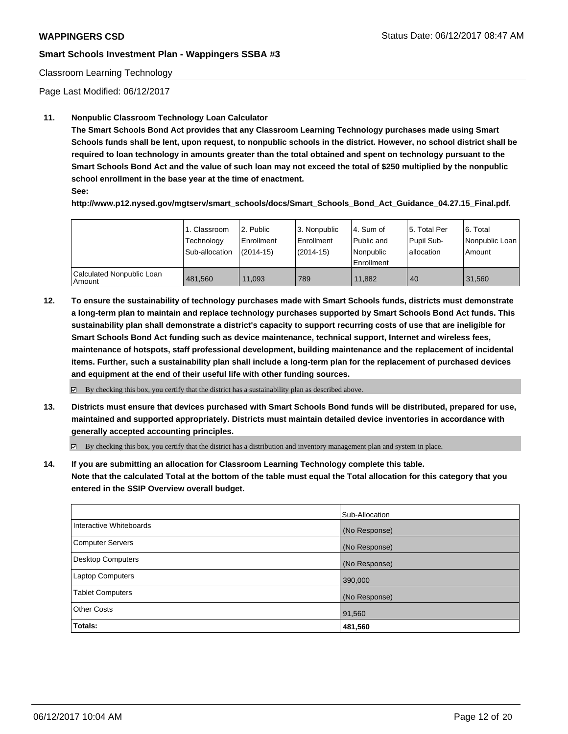### Classroom Learning Technology

Page Last Modified: 06/12/2017

## **11. Nonpublic Classroom Technology Loan Calculator**

**The Smart Schools Bond Act provides that any Classroom Learning Technology purchases made using Smart Schools funds shall be lent, upon request, to nonpublic schools in the district. However, no school district shall be required to loan technology in amounts greater than the total obtained and spent on technology pursuant to the Smart Schools Bond Act and the value of such loan may not exceed the total of \$250 multiplied by the nonpublic school enrollment in the base year at the time of enactment.**

**See:**

**http://www.p12.nysed.gov/mgtserv/smart\_schools/docs/Smart\_Schools\_Bond\_Act\_Guidance\_04.27.15\_Final.pdf.**

|                                       | 1. Classroom<br>Technology<br>Sub-allocation | l 2. Public<br>l Enrollment<br>$(2014-15)$ | l 3. Nonpublic<br>Enrollment<br>(2014-15) | l 4. Sum of<br>Public and<br>Nonpublic<br>Enrollment | 15. Total Per<br>Pupil Sub-<br>l allocation | 6. Total<br>  Nonpublic Loan  <br>Amount |
|---------------------------------------|----------------------------------------------|--------------------------------------------|-------------------------------------------|------------------------------------------------------|---------------------------------------------|------------------------------------------|
| Calculated Nonpublic Loan<br>l Amount | 481.560                                      | 11.093                                     | 789                                       | 11.882                                               | 40                                          | 31.560                                   |

**12. To ensure the sustainability of technology purchases made with Smart Schools funds, districts must demonstrate a long-term plan to maintain and replace technology purchases supported by Smart Schools Bond Act funds. This sustainability plan shall demonstrate a district's capacity to support recurring costs of use that are ineligible for Smart Schools Bond Act funding such as device maintenance, technical support, Internet and wireless fees, maintenance of hotspots, staff professional development, building maintenance and the replacement of incidental items. Further, such a sustainability plan shall include a long-term plan for the replacement of purchased devices and equipment at the end of their useful life with other funding sources.**

 $\boxtimes$  By checking this box, you certify that the district has a sustainability plan as described above.

**13. Districts must ensure that devices purchased with Smart Schools Bond funds will be distributed, prepared for use, maintained and supported appropriately. Districts must maintain detailed device inventories in accordance with generally accepted accounting principles.**

By checking this box, you certify that the district has a distribution and inventory management plan and system in place.

**14. If you are submitting an allocation for Classroom Learning Technology complete this table. Note that the calculated Total at the bottom of the table must equal the Total allocation for this category that you entered in the SSIP Overview overall budget.**

|                          | Sub-Allocation |
|--------------------------|----------------|
| Interactive Whiteboards  | (No Response)  |
| Computer Servers         | (No Response)  |
| <b>Desktop Computers</b> | (No Response)  |
| <b>Laptop Computers</b>  | 390,000        |
| <b>Tablet Computers</b>  | (No Response)  |
| <b>Other Costs</b>       | 91,560         |
| Totals:                  | 481,560        |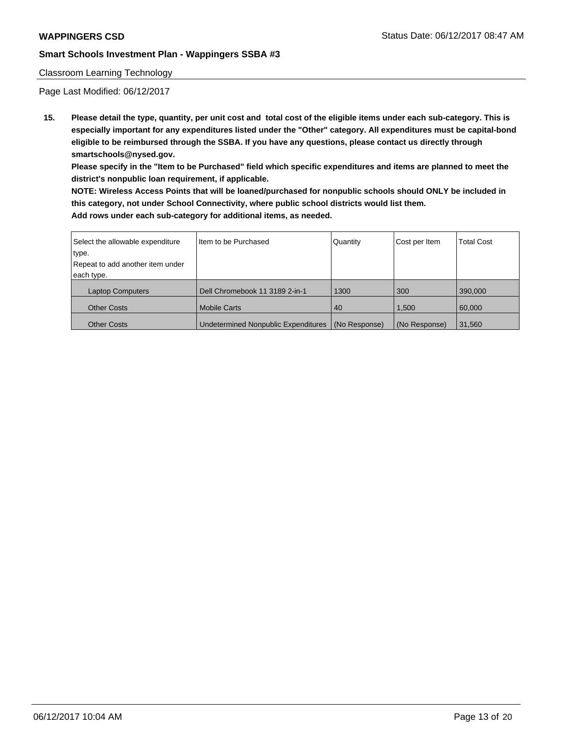### Classroom Learning Technology

Page Last Modified: 06/12/2017

**15. Please detail the type, quantity, per unit cost and total cost of the eligible items under each sub-category. This is especially important for any expenditures listed under the "Other" category. All expenditures must be capital-bond eligible to be reimbursed through the SSBA. If you have any questions, please contact us directly through smartschools@nysed.gov.**

**Please specify in the "Item to be Purchased" field which specific expenditures and items are planned to meet the district's nonpublic loan requirement, if applicable.**

**NOTE: Wireless Access Points that will be loaned/purchased for nonpublic schools should ONLY be included in this category, not under School Connectivity, where public school districts would list them. Add rows under each sub-category for additional items, as needed.**

| Select the allowable expenditure | Iltem to be Purchased               | Quantity      | Cost per Item | <b>Total Cost</b> |
|----------------------------------|-------------------------------------|---------------|---------------|-------------------|
| type.                            |                                     |               |               |                   |
| Repeat to add another item under |                                     |               |               |                   |
| each type.                       |                                     |               |               |                   |
| <b>Laptop Computers</b>          | Dell Chromebook 11 3189 2-in-1      | 1300          | 300           | 390,000           |
| <b>Other Costs</b>               | <b>Mobile Carts</b>                 | 40            | 1.500         | 60,000            |
| <b>Other Costs</b>               | Undetermined Nonpublic Expenditures | (No Response) | (No Response) | 31,560            |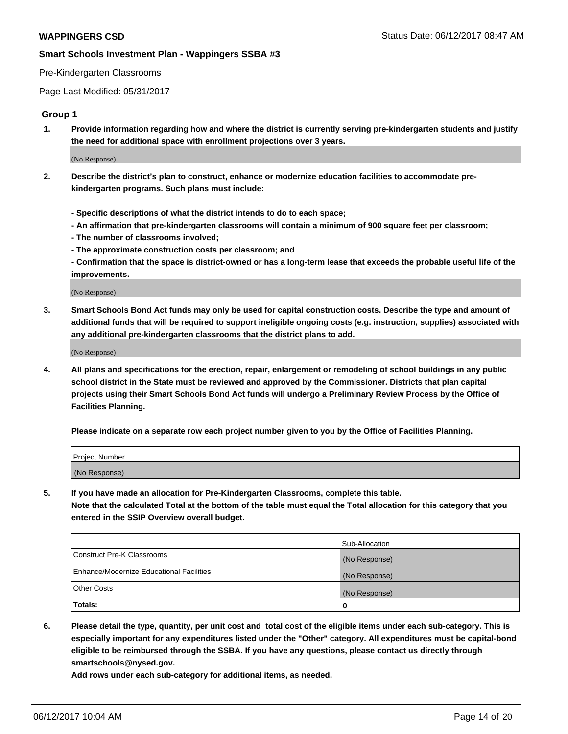#### Pre-Kindergarten Classrooms

Page Last Modified: 05/31/2017

#### **Group 1**

**1. Provide information regarding how and where the district is currently serving pre-kindergarten students and justify the need for additional space with enrollment projections over 3 years.**

(No Response)

- **2. Describe the district's plan to construct, enhance or modernize education facilities to accommodate prekindergarten programs. Such plans must include:**
	- **Specific descriptions of what the district intends to do to each space;**
	- **An affirmation that pre-kindergarten classrooms will contain a minimum of 900 square feet per classroom;**
	- **The number of classrooms involved;**
	- **The approximate construction costs per classroom; and**
	- **Confirmation that the space is district-owned or has a long-term lease that exceeds the probable useful life of the improvements.**

(No Response)

**3. Smart Schools Bond Act funds may only be used for capital construction costs. Describe the type and amount of additional funds that will be required to support ineligible ongoing costs (e.g. instruction, supplies) associated with any additional pre-kindergarten classrooms that the district plans to add.**

(No Response)

**4. All plans and specifications for the erection, repair, enlargement or remodeling of school buildings in any public school district in the State must be reviewed and approved by the Commissioner. Districts that plan capital projects using their Smart Schools Bond Act funds will undergo a Preliminary Review Process by the Office of Facilities Planning.**

**Please indicate on a separate row each project number given to you by the Office of Facilities Planning.**

| Project Number |  |
|----------------|--|
| (No Response)  |  |

**5. If you have made an allocation for Pre-Kindergarten Classrooms, complete this table. Note that the calculated Total at the bottom of the table must equal the Total allocation for this category that you entered in the SSIP Overview overall budget.**

| Totals:                                  | 0              |
|------------------------------------------|----------------|
| Other Costs                              | (No Response)  |
| Enhance/Modernize Educational Facilities | (No Response)  |
| Construct Pre-K Classrooms               | (No Response)  |
|                                          | Sub-Allocation |

**6. Please detail the type, quantity, per unit cost and total cost of the eligible items under each sub-category. This is especially important for any expenditures listed under the "Other" category. All expenditures must be capital-bond eligible to be reimbursed through the SSBA. If you have any questions, please contact us directly through smartschools@nysed.gov.**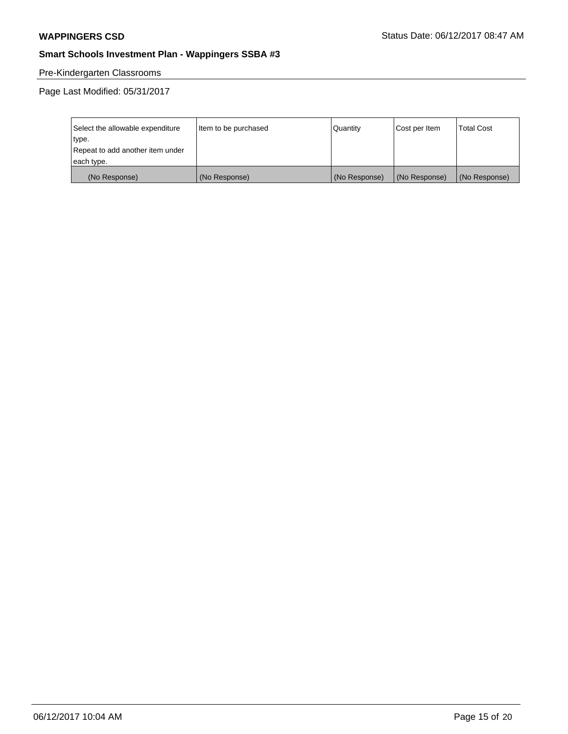# Pre-Kindergarten Classrooms

Page Last Modified: 05/31/2017

| Select the allowable expenditure | Item to be purchased | Quantity      | Cost per Item | <b>Total Cost</b> |
|----------------------------------|----------------------|---------------|---------------|-------------------|
| type.                            |                      |               |               |                   |
| Repeat to add another item under |                      |               |               |                   |
| each type.                       |                      |               |               |                   |
| (No Response)                    | (No Response)        | (No Response) | (No Response) | (No Response)     |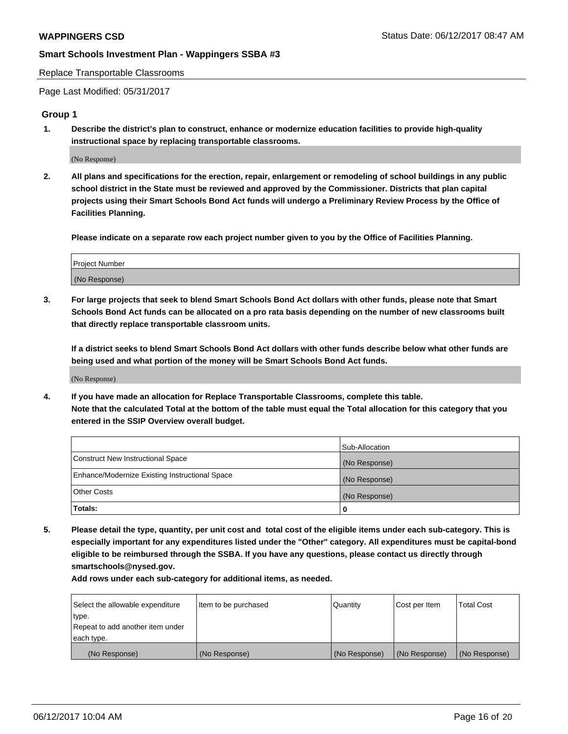Replace Transportable Classrooms

Page Last Modified: 05/31/2017

#### **Group 1**

**1. Describe the district's plan to construct, enhance or modernize education facilities to provide high-quality instructional space by replacing transportable classrooms.**

(No Response)

**2. All plans and specifications for the erection, repair, enlargement or remodeling of school buildings in any public school district in the State must be reviewed and approved by the Commissioner. Districts that plan capital projects using their Smart Schools Bond Act funds will undergo a Preliminary Review Process by the Office of Facilities Planning.**

**Please indicate on a separate row each project number given to you by the Office of Facilities Planning.**

| Project Number |  |
|----------------|--|
| (No Response)  |  |

**3. For large projects that seek to blend Smart Schools Bond Act dollars with other funds, please note that Smart Schools Bond Act funds can be allocated on a pro rata basis depending on the number of new classrooms built that directly replace transportable classroom units.**

**If a district seeks to blend Smart Schools Bond Act dollars with other funds describe below what other funds are being used and what portion of the money will be Smart Schools Bond Act funds.**

(No Response)

**4. If you have made an allocation for Replace Transportable Classrooms, complete this table. Note that the calculated Total at the bottom of the table must equal the Total allocation for this category that you entered in the SSIP Overview overall budget.**

|                                                | Sub-Allocation |
|------------------------------------------------|----------------|
| Construct New Instructional Space              | (No Response)  |
| Enhance/Modernize Existing Instructional Space | (No Response)  |
| Other Costs                                    | (No Response)  |
| Totals:                                        | 0              |

**5. Please detail the type, quantity, per unit cost and total cost of the eligible items under each sub-category. This is especially important for any expenditures listed under the "Other" category. All expenditures must be capital-bond eligible to be reimbursed through the SSBA. If you have any questions, please contact us directly through smartschools@nysed.gov.**

| Select the allowable expenditure | Item to be purchased | Quantity      | Cost per Item | <b>Total Cost</b> |
|----------------------------------|----------------------|---------------|---------------|-------------------|
| type.                            |                      |               |               |                   |
| Repeat to add another item under |                      |               |               |                   |
| each type.                       |                      |               |               |                   |
| (No Response)                    | (No Response)        | (No Response) | (No Response) | (No Response)     |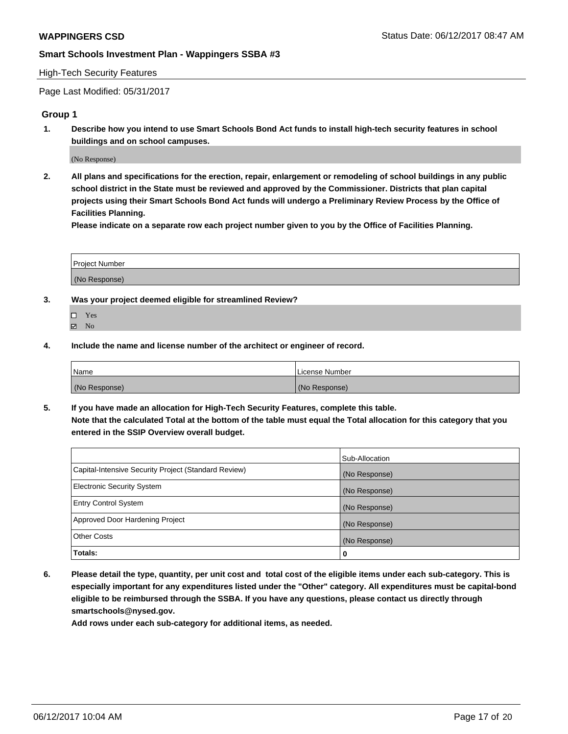#### High-Tech Security Features

Page Last Modified: 05/31/2017

#### **Group 1**

**1. Describe how you intend to use Smart Schools Bond Act funds to install high-tech security features in school buildings and on school campuses.**

(No Response)

**2. All plans and specifications for the erection, repair, enlargement or remodeling of school buildings in any public school district in the State must be reviewed and approved by the Commissioner. Districts that plan capital projects using their Smart Schools Bond Act funds will undergo a Preliminary Review Process by the Office of Facilities Planning.** 

**Please indicate on a separate row each project number given to you by the Office of Facilities Planning.**

| Project Number |  |
|----------------|--|
|                |  |
| (No Response)  |  |

- **3. Was your project deemed eligible for streamlined Review?**
	- Yes  $\boxtimes$  No
- **4. Include the name and license number of the architect or engineer of record.**

| <b>Name</b>   | License Number |
|---------------|----------------|
| (No Response) | (No Response)  |

**5. If you have made an allocation for High-Tech Security Features, complete this table. Note that the calculated Total at the bottom of the table must equal the Total allocation for this category that you entered in the SSIP Overview overall budget.**

|                                                      | Sub-Allocation |
|------------------------------------------------------|----------------|
| Capital-Intensive Security Project (Standard Review) | (No Response)  |
| Electronic Security System                           | (No Response)  |
| <b>Entry Control System</b>                          | (No Response)  |
| Approved Door Hardening Project                      | (No Response)  |
| <b>Other Costs</b>                                   | (No Response)  |
| Totals:                                              | 0              |

**6. Please detail the type, quantity, per unit cost and total cost of the eligible items under each sub-category. This is especially important for any expenditures listed under the "Other" category. All expenditures must be capital-bond eligible to be reimbursed through the SSBA. If you have any questions, please contact us directly through smartschools@nysed.gov.**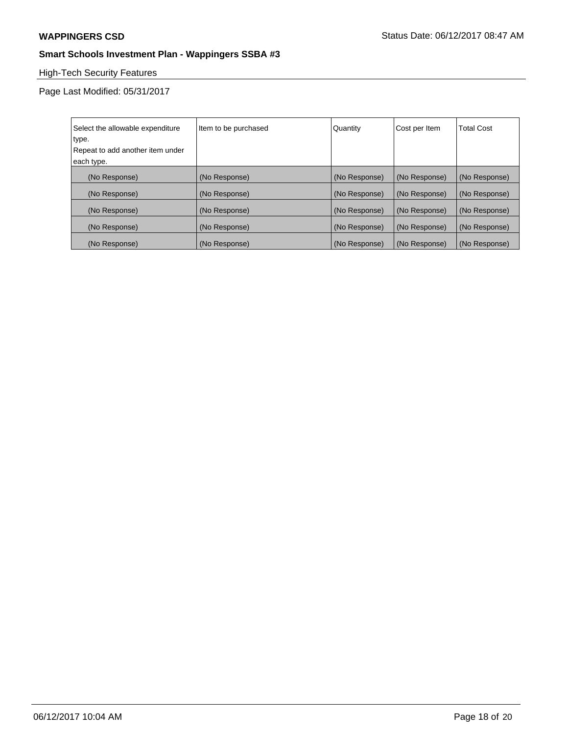# High-Tech Security Features

Page Last Modified: 05/31/2017

| Select the allowable expenditure | Item to be purchased | Quantity      | Cost per Item | <b>Total Cost</b> |
|----------------------------------|----------------------|---------------|---------------|-------------------|
| type.                            |                      |               |               |                   |
| Repeat to add another item under |                      |               |               |                   |
| each type.                       |                      |               |               |                   |
| (No Response)                    | (No Response)        | (No Response) | (No Response) | (No Response)     |
| (No Response)                    | (No Response)        | (No Response) | (No Response) | (No Response)     |
| (No Response)                    | (No Response)        | (No Response) | (No Response) | (No Response)     |
| (No Response)                    | (No Response)        | (No Response) | (No Response) | (No Response)     |
| (No Response)                    | (No Response)        | (No Response) | (No Response) | (No Response)     |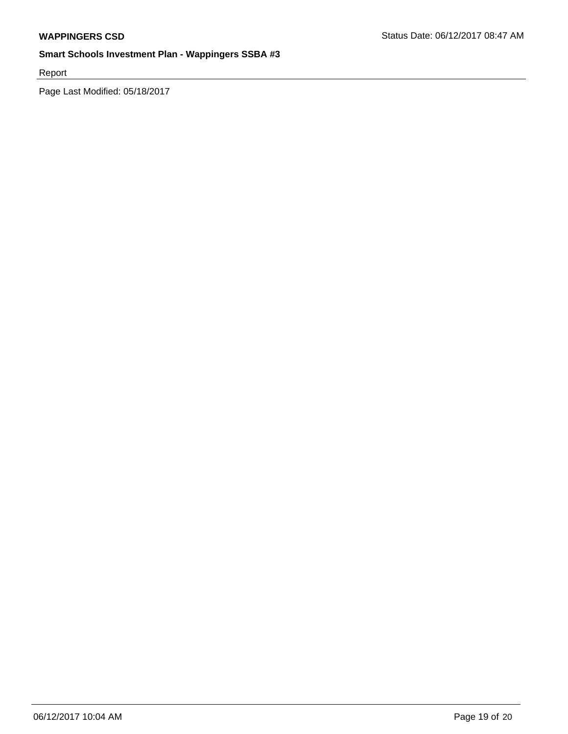Report

Page Last Modified: 05/18/2017